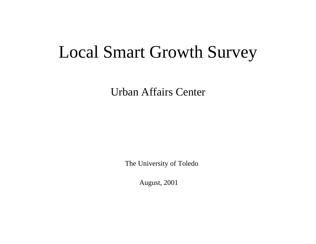# Local Smart Growth Survey

Urban Affairs Center

The University of Toledo

August, 2001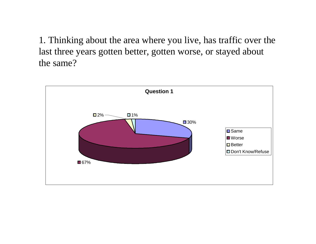1. Thinking about the area where you live, has traffic over the last three years gotten better, gotten worse, or stayed about the same?

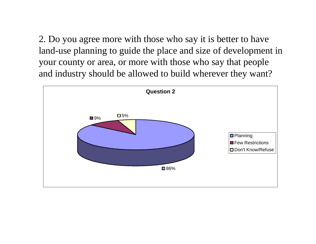2. Do you agree more with those who say it is better to have land-use planning to guide the place and size of development in your county or area, or more with those who say that people and industry should be allowed to build wherever they want?

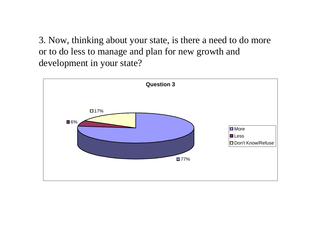3. Now, thinking about your state, is there a need to do more or to do less to manage and plan for new growth and development in your state?

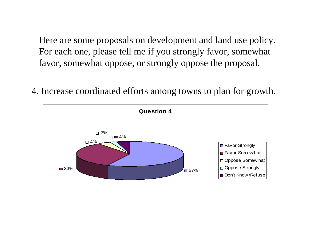Here are some proposals on development and land use policy. For each one, please tell me if you strongly favor, somewhat favor, somewhat oppose, or strongly oppose the proposal.

4. Increase coordinated efforts among towns to plan for growth.

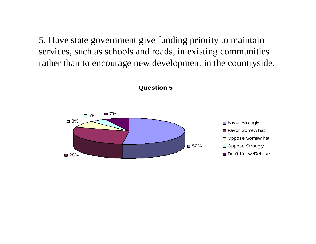5. Have state government give funding priority to maintain services, such as schools and roads, in existing communities rather than to encourage new development in the countryside.

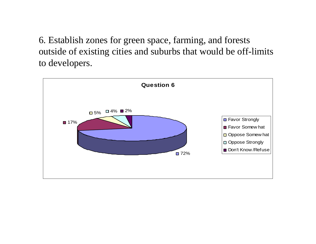6. Establish zones for green space, farming, and forests outside of existing cities and suburbs that would be off-limits to developers.

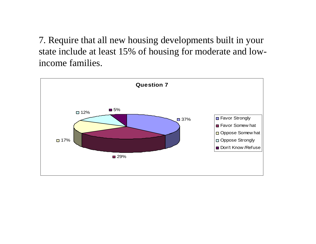7. Require that all new housing developments built in your state include at least 15% of housing for moderate and lowincome families.

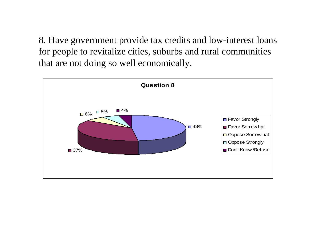8. Have government provide tax credits and low-interest loans for people to revitalize cities, suburbs and rural communities that are not doing so well economically.

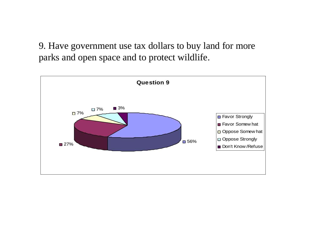9. Have government use tax dollars to buy land for more parks and open space and to protect wildlife.

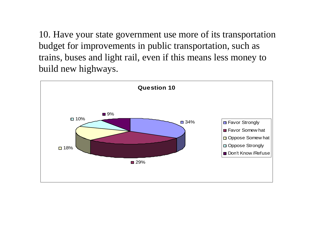10. Have your state government use more of its transportation budget for improvements in public transportation, such as trains, buses and light rail, even if this means less money to build new highways.

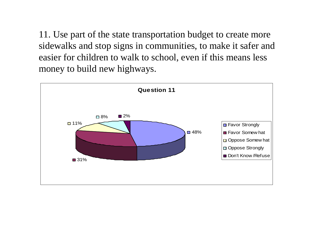11. Use part of the state transportation budget to create more sidewalks and stop signs in communities, to make it safer and easier for children to walk to school, even if this means less money to build new highways.

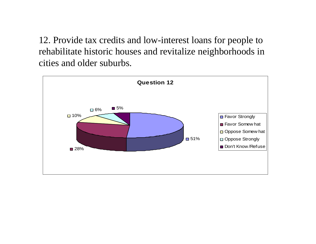12. Provide tax credits and low-interest loans for people to rehabilitate historic houses and revitalize neighborhoods in cities and older suburbs.

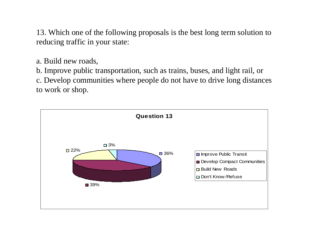13. Which one of the following proposals is the best long term solution to reducing traffic in your state:

a. Build new roads,

b. Improve public transportation, such as trains, buses, and light rail, or

c. Develop communities where people do not have to drive long distances to work or shop.

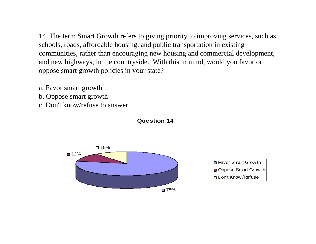14. The term Smart Growth refers to giving priority to improving services, such as schools, roads, affordable housing, and public transportation in existing communities, rather than encouraging new housing and commercial development, and new highways, in the countryside. With this in mind, would you favor or oppose smart growth policies in your state?

- a. Favor smart growth
- b. Oppose smart growth
- c. Don't know/refuse to answer

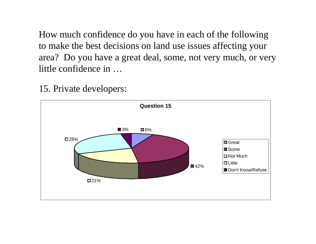How much confidence do you have in each of the following to make the best decisions on land use issues affecting your area? Do you have a great deal, some, not very much, or very little confidence in …

15. Private developers:

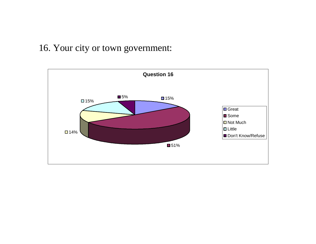### 16. Your city or town government:

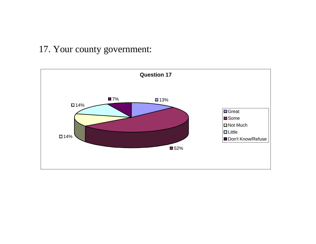### 17. Your county government:

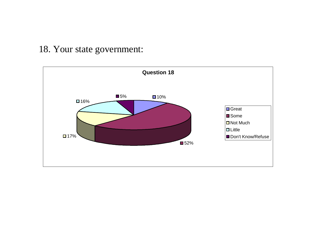### 18. Your state government:

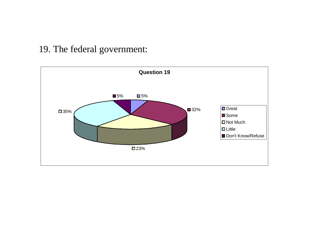# 19. The federal government:

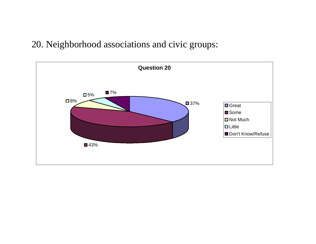# 20. Neighborhood associations and civic groups:

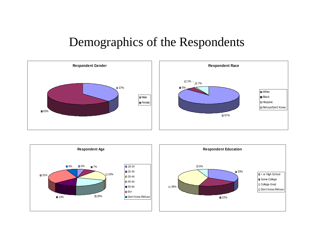# Demographics of the Respondents





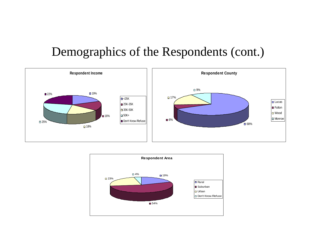# Demographics of the Respondents (cont.)